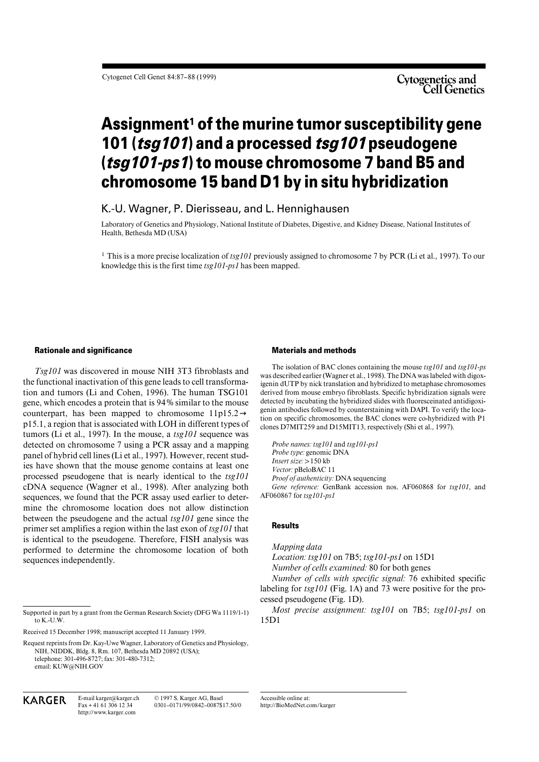# **Assignment1 of the murine tumor susceptibility gene 101 (tsg101) and a processed tsg101 pseudogene (tsg101-ps1) to mouse chromosome 7 band B5 and chromosome 15 band D1 by in situ hybridization**

K.-U. Wagner, P. Dierisseau, and L. Hennighausen

Laboratory of Genetics and Physiology, National Institute of Diabetes, Digestive, and Kidney Disease, National Institutes of Health, Bethesda MD (USA)

<sup>1</sup> This is a more precise localization of *tsg101* previously assigned to chromosome 7 by PCR (Li et al., 1997). To our knowledge this is the first time *tsg101-ps1* has been mapped.

### **Rationale and significance**

*Tsg101* was discovered in mouse NIH 3T3 fibroblasts and the functional inactivation of this gene leads to cell transformation and tumors (Li and Cohen, 1996). The human TSG101 gene, which encodes a protein that is 94% similar to the mouse counterpart, has been mapped to chromosome  $11p15.2\rightarrow$ p15.1, a region that is associated with LOH in different types of tumors (Li et al., 1997). In the mouse, a *tsg101* sequence was detected on chromosome 7 using a PCR assay and a mapping panel of hybrid cell lines (Li et al., 1997). However, recent studies have shown that the mouse genome contains at least one processed pseudogene that is nearly identical to the *tsg101* cDNA sequence (Wagner et al., 1998). After analyzing both sequences, we found that the PCR assay used earlier to determine the chromosome location does not allow distinction between the pseudogene and the actual *tsg101* gene since the primer set amplifies a region within the last exon of *tsg101* that is identical to the pseudogene. Therefore, FISH analysis was performed to determine the chromosome location of both sequences independently.

Fax + 41 61 306 12 34 http://www.karger.com © 1997 S. Karger AG, Basel

**Materials and methods**

The isolation of BAC clones containing the mouse *tsg101* and *tsg101-ps* was described earlier (Wagner et al., 1998). The DNA was labeled with digoxigenin dUTP by nick translation and hybridized to metaphase chromosomes derived from mouse embryo fibroblasts. Specific hybridization signals were detected by incubating the hybridized slides with fluoresceinated antidigoxigenin antibodies followed by counterstaining with DAPI. To verify the location on specific chromosomes, the BAC clones were co-hybridized with P1 clones D7MIT259 and D15MIT13, respectively (Shi et al., 1997).

*Probe names: tsg101* and *tsg101-ps1 Probe type:* genomic DNA *Insert size:* > 150 kb *Vector:* pBeloBAC 11 *Proof of authenticity:* DNA sequencing *Gene reference:* GenBank accession nos. AF060868 for *tsg101*, and AF060867 for *tsg101-ps1*

## **Results**

#### *Mapping data*

*Location: tsg101* on 7B5; *tsg101-ps1* on 15D1 *Number of cells examined:* 80 for both genes

*Number of cells with specific signal:* 76 exhibited specific labeling for *tsg101* (Fig. 1A) and 73 were positive for the processed pseudogene (Fig. 1D).

*Most precise assignment: tsg101* on 7B5; *tsg101-ps1* on 15D1

0301–0171/99/0842–0087\$17.50/0 Accessible online at: http://BioMedNet.com/karger

Supported in part by a grant from the German Research Society (DFG Wa 1119/1-1) to  $K$  -U.W.

Received 15 December 1998; manuscript accepted 11 January 1999.

Request reprints from Dr. Kay-Uwe Wagner, Laboratory of Genetics and Physiology, NIH, NIDDK, Bldg. 8, Rm. 107, Bethesda MD 20892 (USA); telephone: 301-496-8727; fax: 301-480-7312; email: KUW@NIH.GOV